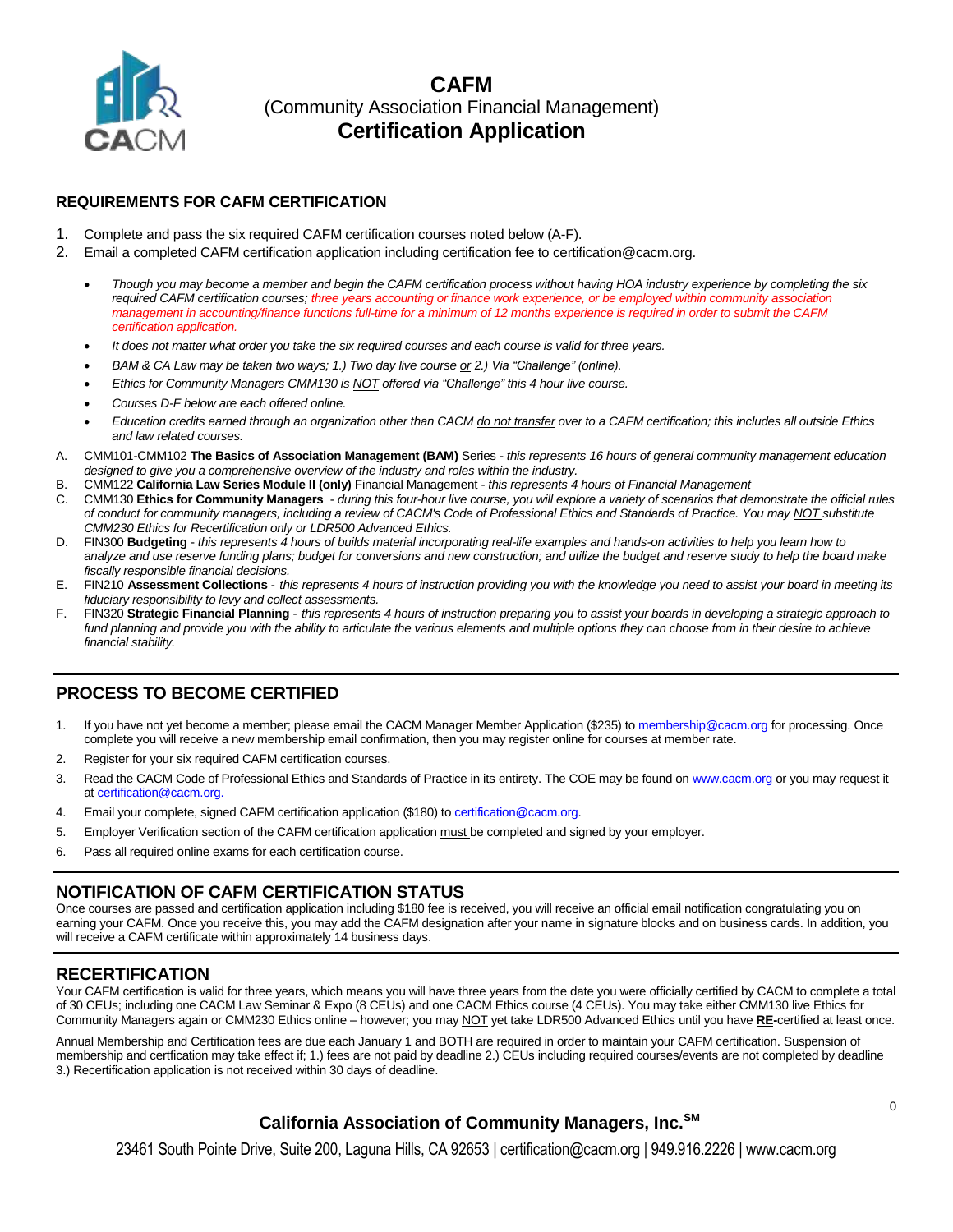

### **REQUIREMENTS FOR CAFM CERTIFICATION**

- 1. Complete and pass the six required CAFM certification courses noted below (A-F).
- 2. Email a completed CAFM certification application including certification fee to certification@cacm.org.
	- *Though you may become a member and begin the CAFM certification process without having HOA industry experience by completing the six required CAFM certification courses; three years accounting or finance work experience, or be employed within community association management in accounting/finance functions full-time for a minimum of 12 months experience is required in order to submit the CAFM certification application.*
	- *It does not matter what order you take the six required courses and each course is valid for three years.*
	- *BAM & CA Law may be taken two ways; 1.) Two day live course or 2.) Via "Challenge" (online).*
	- *Ethics for Community Managers CMM130 is NOT offered via "Challenge" this 4 hour live course.*
	- *Courses D-F below are each offered online.*
	- *Education credits earned through an organization other than CACM do not transfer over to a CAFM certification; this includes all outside Ethics and law related courses.*
- A. CMM101-CMM102 **The Basics of Association Management (BAM)** Series *this represents 16 hours of general community management education designed to give you a comprehensive overview of the industry and roles within the industry.*
- B. CMM122 **California Law Series Module II (only)** Financial Management *this represents 4 hours of Financial Management*
- C. CMM130 **Ethics for Community Managers** *during this four-hour live course, you will explore a variety of scenarios that demonstrate the official rules of conduct for community managers, including a review of CACM's Code of Professional Ethics and Standards of Practice. You may NOT substitute CMM230 Ethics for Recertification only or LDR500 Advanced Ethics.*
- D. FIN300 **Budgeting** *this represents 4 hours of builds material incorporating real-life examples and hands-on activities to help you learn how to analyze and use reserve funding plans; budget for conversions and new construction; and utilize the budget and reserve study to help the board make fiscally responsible financial decisions.*
- E. FIN210 **Assessment Collections** *this represents 4 hours of instruction providing you with the knowledge you need to assist your board in meeting its fiduciary responsibility to levy and collect assessments.*
- F. FIN320 **Strategic Financial Planning** *this represents 4 hours of instruction preparing you to assist your boards in developing a strategic approach to*  fund planning and provide you with the ability to articulate the various elements and multiple options they can choose from in their desire to achieve *financial stability.*

## **PROCESS TO BECOME CERTIFIED**

- 1. If you have not yet become a member; please email the [CACM Manager Member Application](http://www.cacm.org/Membership/ManagerMemberAppForm.pdf) (\$235) t[o membership@cacm.org](mailto:membership@cacm.org) for processing. Once complete you will receive a new membership email confirmation, then you may register online for courses at member rate.
- 2. Register for your six required CAFM certification courses.
- 3. Read the CACM Code of Professional Ethics and Standards of Practice in its entirety. The COE may be found on [www.cacm.org](http://www.cacm.org/) or you may request it a[t certification@cacm.org.](mailto:certification@cacm.org)
- 4. Email your complete, signed CAFM certification application (\$180) t[o certification@cacm.org.](mailto:certification@cacm.org)
- 5. Employer Verification section of the CAFM certification application must be completed and signed by your employer.
- 6. Pass all required online exams for each certification course.

## **NOTIFICATION OF CAFM CERTIFICATION STATUS**

Once courses are passed and certification application including \$180 fee is received, you will receive an official email notification congratulating you on earning your CAFM. Once you receive this, you may add the CAFM designation after your name in signature blocks and on business cards. In addition, you will receive a CAFM certificate within approximately 14 business days.

#### **RECERTIFICATION**

Your CAFM certification is valid for three years, which means you will have three years from the date you were officially certified by CACM to complete a total of 30 CEUs; including one CACM Law Seminar & Expo (8 CEUs) and one CACM Ethics course (4 CEUs). You may take either CMM130 live Ethics for Community Managers again or CMM230 Ethics online – however; you may NOT yet take LDR500 Advanced Ethics until you have **RE-**certified at least once.

Annual Membership and Certification fees are due each January 1 and BOTH are required in order to maintain your CAFM certification. Suspension of membership and certfication may take effect if; 1.) fees are not paid by deadline 2.) CEUs including required courses/events are not completed by deadline 3.) Recertification application is not received within 30 days of deadline.

## **California Association of Community Managers, Inc.SM**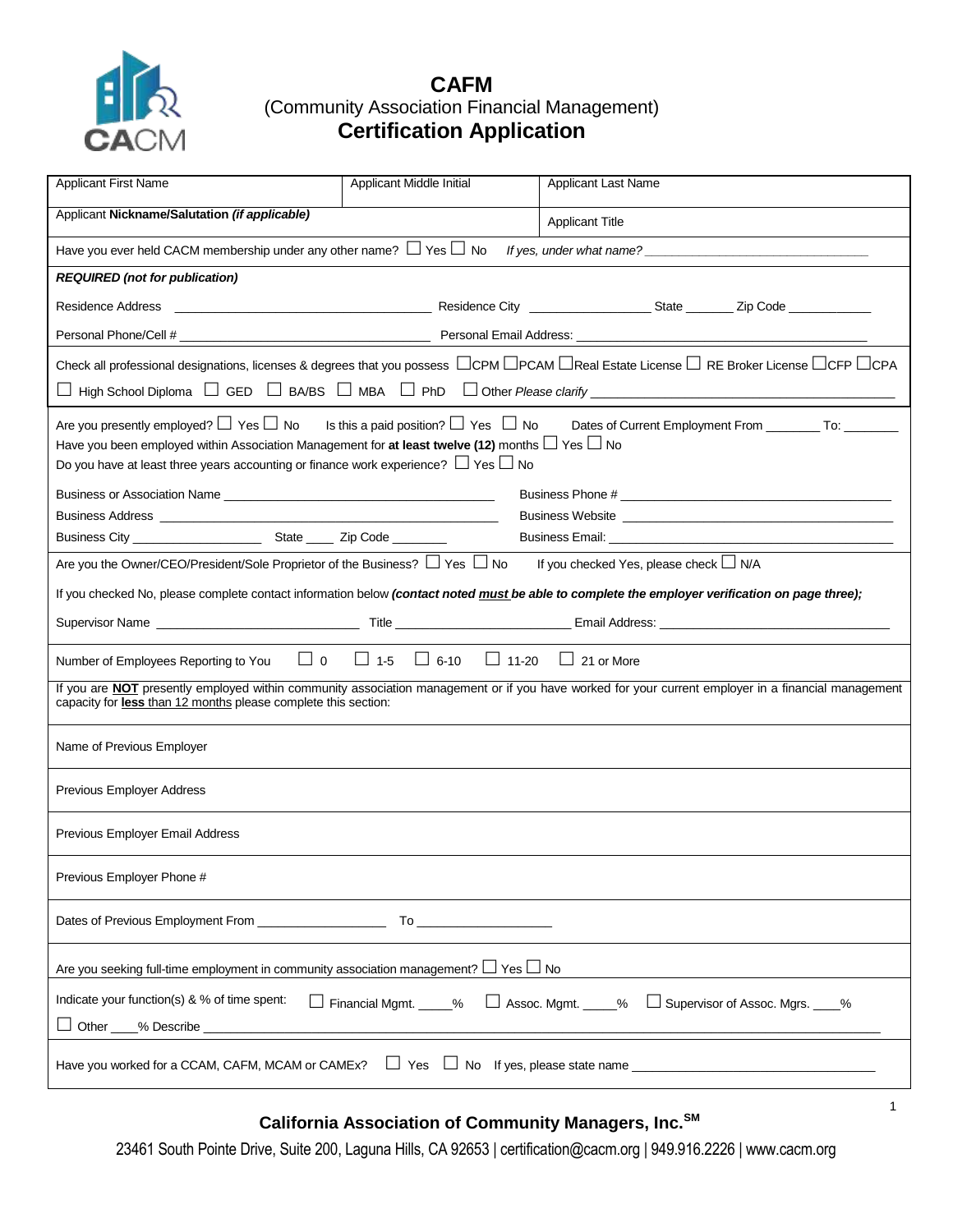

| <b>Applicant First Name</b>                                                                                                                                                                                                                                                                                                                                                     | Applicant Middle Initial                                                                                                                                                                                                       | <b>Applicant Last Name</b>                                                                                                                                                |  |  |
|---------------------------------------------------------------------------------------------------------------------------------------------------------------------------------------------------------------------------------------------------------------------------------------------------------------------------------------------------------------------------------|--------------------------------------------------------------------------------------------------------------------------------------------------------------------------------------------------------------------------------|---------------------------------------------------------------------------------------------------------------------------------------------------------------------------|--|--|
| Applicant Nickname/Salutation (if applicable)                                                                                                                                                                                                                                                                                                                                   |                                                                                                                                                                                                                                | <b>Applicant Title</b>                                                                                                                                                    |  |  |
| Have you ever held CACM membership under any other name? $\Box$ Yes $\Box$ No                                                                                                                                                                                                                                                                                                   |                                                                                                                                                                                                                                | If yes, under what name?                                                                                                                                                  |  |  |
| <b>REQUIRED</b> (not for publication)                                                                                                                                                                                                                                                                                                                                           |                                                                                                                                                                                                                                |                                                                                                                                                                           |  |  |
|                                                                                                                                                                                                                                                                                                                                                                                 |                                                                                                                                                                                                                                |                                                                                                                                                                           |  |  |
|                                                                                                                                                                                                                                                                                                                                                                                 |                                                                                                                                                                                                                                |                                                                                                                                                                           |  |  |
|                                                                                                                                                                                                                                                                                                                                                                                 |                                                                                                                                                                                                                                | Check all professional designations, licenses & degrees that you possess $\Box$ CPM $\Box$ PCAM $\Box$ Real Estate License $\Box$ RE Broker License $\Box$ CFP $\Box$ CPA |  |  |
|                                                                                                                                                                                                                                                                                                                                                                                 |                                                                                                                                                                                                                                |                                                                                                                                                                           |  |  |
| Are you presently employed? $\square$ Yes $\square$ No Is this a paid position? $\square$ Yes $\square$ No Dates of Current Employment From _________ To: ________<br>Have you been employed within Association Management for at least twelve (12) months $\Box$ Yes $\Box$ No<br>Do you have at least three years accounting or finance work experience? $\Box$ Yes $\Box$ No |                                                                                                                                                                                                                                |                                                                                                                                                                           |  |  |
|                                                                                                                                                                                                                                                                                                                                                                                 |                                                                                                                                                                                                                                | Business Phone #                                                                                                                                                          |  |  |
|                                                                                                                                                                                                                                                                                                                                                                                 |                                                                                                                                                                                                                                |                                                                                                                                                                           |  |  |
| Are you the Owner/CEO/President/Sole Proprietor of the Business? $\Box$ Yes $\Box$ No                                                                                                                                                                                                                                                                                           |                                                                                                                                                                                                                                | If you checked Yes, please check $\Box$ N/A                                                                                                                               |  |  |
|                                                                                                                                                                                                                                                                                                                                                                                 |                                                                                                                                                                                                                                |                                                                                                                                                                           |  |  |
|                                                                                                                                                                                                                                                                                                                                                                                 |                                                                                                                                                                                                                                | If you checked No, please complete contact information below (contact noted must be able to complete the employer verification on page three);                            |  |  |
|                                                                                                                                                                                                                                                                                                                                                                                 |                                                                                                                                                                                                                                |                                                                                                                                                                           |  |  |
| Number of Employees Reporting to You                                                                                                                                                                                                                                                                                                                                            | $\Box$ 0 $\Box$ 1-5 $\Box$ 6-10 $\Box$ 11-20 $\Box$ 21 or More                                                                                                                                                                 |                                                                                                                                                                           |  |  |
| capacity for less than 12 months please complete this section:                                                                                                                                                                                                                                                                                                                  |                                                                                                                                                                                                                                | If you are <b>NOT</b> presently employed within community association management or if you have worked for your current employer in a financial management                |  |  |
| Name of Previous Employer                                                                                                                                                                                                                                                                                                                                                       |                                                                                                                                                                                                                                |                                                                                                                                                                           |  |  |
| Previous Employer Address                                                                                                                                                                                                                                                                                                                                                       |                                                                                                                                                                                                                                |                                                                                                                                                                           |  |  |
| Previous Employer Email Address                                                                                                                                                                                                                                                                                                                                                 |                                                                                                                                                                                                                                |                                                                                                                                                                           |  |  |
| Previous Employer Phone #                                                                                                                                                                                                                                                                                                                                                       |                                                                                                                                                                                                                                |                                                                                                                                                                           |  |  |
| Dates of Previous Employment From                                                                                                                                                                                                                                                                                                                                               | To the control of the control of the control of the control of the control of the control of the control of the control of the control of the control of the control of the control of the control of the control of the contr |                                                                                                                                                                           |  |  |
| Are you seeking full-time employment in community association management? $\Box$ Yes $\Box$ No                                                                                                                                                                                                                                                                                  |                                                                                                                                                                                                                                |                                                                                                                                                                           |  |  |
| Indicate your function(s) & % of time spent:                                                                                                                                                                                                                                                                                                                                    | Financial Mgmt. ____%                                                                                                                                                                                                          | $\Box$ Assoc. Mgmt. _____%<br>Supervisor of Assoc. Mgrs. ____%                                                                                                            |  |  |
|                                                                                                                                                                                                                                                                                                                                                                                 |                                                                                                                                                                                                                                | Have you worked for a CCAM, CAFM, MCAM or CAMEx? $\Box$ Yes $\Box$ No If yes, please state name                                                                           |  |  |

# **California Association of Community Managers, Inc.SM**

1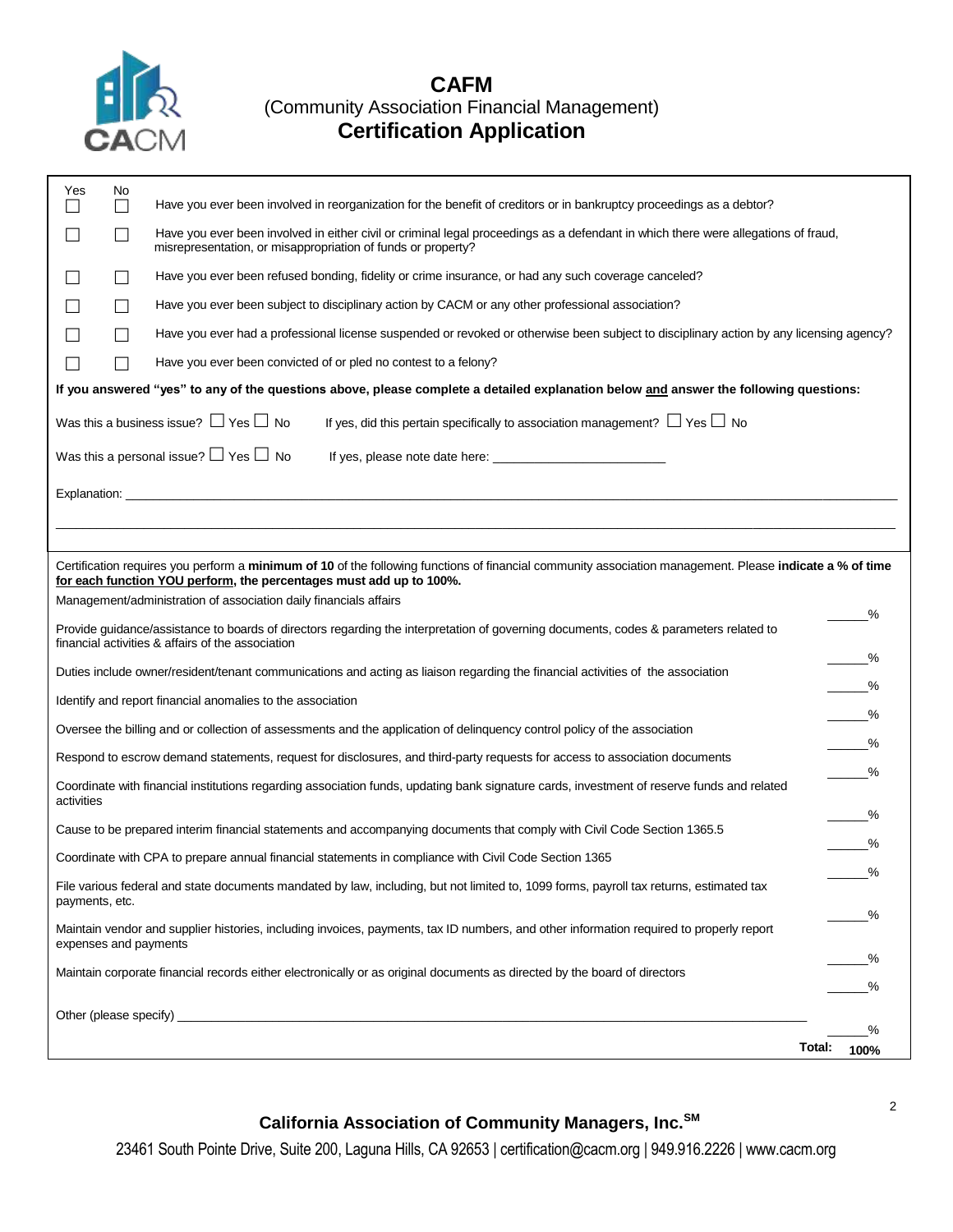

| Yes                                                                                                                                                                                        | No.<br>$\mathsf{L}$ | Have you ever been involved in reorganization for the benefit of creditors or in bankruptcy proceedings as a debtor?                                                                                                            |        |                               |  |  |
|--------------------------------------------------------------------------------------------------------------------------------------------------------------------------------------------|---------------------|---------------------------------------------------------------------------------------------------------------------------------------------------------------------------------------------------------------------------------|--------|-------------------------------|--|--|
|                                                                                                                                                                                            | $\mathsf{L}$        | Have you ever been involved in either civil or criminal legal proceedings as a defendant in which there were allegations of fraud,<br>misrepresentation, or misappropriation of funds or property?                              |        |                               |  |  |
|                                                                                                                                                                                            | $\Box$              | Have you ever been refused bonding, fidelity or crime insurance, or had any such coverage canceled?                                                                                                                             |        |                               |  |  |
|                                                                                                                                                                                            | $\mathsf{L}$        | Have you ever been subject to disciplinary action by CACM or any other professional association?                                                                                                                                |        |                               |  |  |
|                                                                                                                                                                                            | $\mathsf{L}$        | Have you ever had a professional license suspended or revoked or otherwise been subject to disciplinary action by any licensing agency?                                                                                         |        |                               |  |  |
|                                                                                                                                                                                            | $\mathsf{L}$        | Have you ever been convicted of or pled no contest to a felony?                                                                                                                                                                 |        |                               |  |  |
|                                                                                                                                                                                            |                     | If you answered "yes" to any of the questions above, please complete a detailed explanation below and answer the following questions:                                                                                           |        |                               |  |  |
|                                                                                                                                                                                            |                     | Was this a business issue? $\Box$ Yes $\Box$ No<br>If yes, did this pertain specifically to association management? $\Box$ Yes $\Box$ No                                                                                        |        |                               |  |  |
|                                                                                                                                                                                            |                     | Was this a personal issue? $\Box$ Yes $\Box$ No                                                                                                                                                                                 |        |                               |  |  |
|                                                                                                                                                                                            |                     |                                                                                                                                                                                                                                 |        |                               |  |  |
|                                                                                                                                                                                            |                     | Certification requires you perform a minimum of 10 of the following functions of financial community association management. Please indicate a % of time<br>for each function YOU perform, the percentages must add up to 100%. |        |                               |  |  |
|                                                                                                                                                                                            |                     | Management/administration of association daily financials affairs                                                                                                                                                               |        | %                             |  |  |
| Provide guidance/assistance to boards of directors regarding the interpretation of governing documents, codes & parameters related to<br>financial activities & affairs of the association |                     |                                                                                                                                                                                                                                 |        |                               |  |  |
| Duties include owner/resident/tenant communications and acting as liaison regarding the financial activities of the association                                                            |                     |                                                                                                                                                                                                                                 |        | $\%$                          |  |  |
| Identify and report financial anomalies to the association                                                                                                                                 |                     |                                                                                                                                                                                                                                 |        | $\overline{\phantom{1}}^{\%}$ |  |  |
| Oversee the billing and or collection of assessments and the application of delinguency control policy of the association                                                                  |                     |                                                                                                                                                                                                                                 |        | $\frac{9}{6}$                 |  |  |
| Respond to escrow demand statements, request for disclosures, and third-party requests for access to association documents                                                                 |                     |                                                                                                                                                                                                                                 |        | $\overline{\phantom{1}}^{\%}$ |  |  |
| $\%$<br>Coordinate with financial institutions regarding association funds, updating bank signature cards, investment of reserve funds and related<br>activities                           |                     |                                                                                                                                                                                                                                 |        |                               |  |  |
|                                                                                                                                                                                            |                     | Cause to be prepared interim financial statements and accompanying documents that comply with Civil Code Section 1365.5                                                                                                         |        | $\frac{9}{6}$                 |  |  |
| Coordinate with CPA to prepare annual financial statements in compliance with Civil Code Section 1365                                                                                      |                     |                                                                                                                                                                                                                                 |        | %                             |  |  |
| File various federal and state documents mandated by law, including, but not limited to, 1099 forms, payroll tax returns, estimated tax<br>payments, etc.                                  |                     |                                                                                                                                                                                                                                 |        | %                             |  |  |
| Maintain vendor and supplier histories, including invoices, payments, tax ID numbers, and other information required to properly report<br>expenses and payments                           |                     |                                                                                                                                                                                                                                 |        | ℅                             |  |  |
| Maintain corporate financial records either electronically or as original documents as directed by the board of directors                                                                  |                     |                                                                                                                                                                                                                                 |        | _%<br>℅                       |  |  |
| Other (please specify) __                                                                                                                                                                  |                     |                                                                                                                                                                                                                                 |        |                               |  |  |
|                                                                                                                                                                                            |                     |                                                                                                                                                                                                                                 | Total: | %                             |  |  |
|                                                                                                                                                                                            |                     |                                                                                                                                                                                                                                 |        | 100%                          |  |  |

# **California Association of Community Managers, Inc.SM**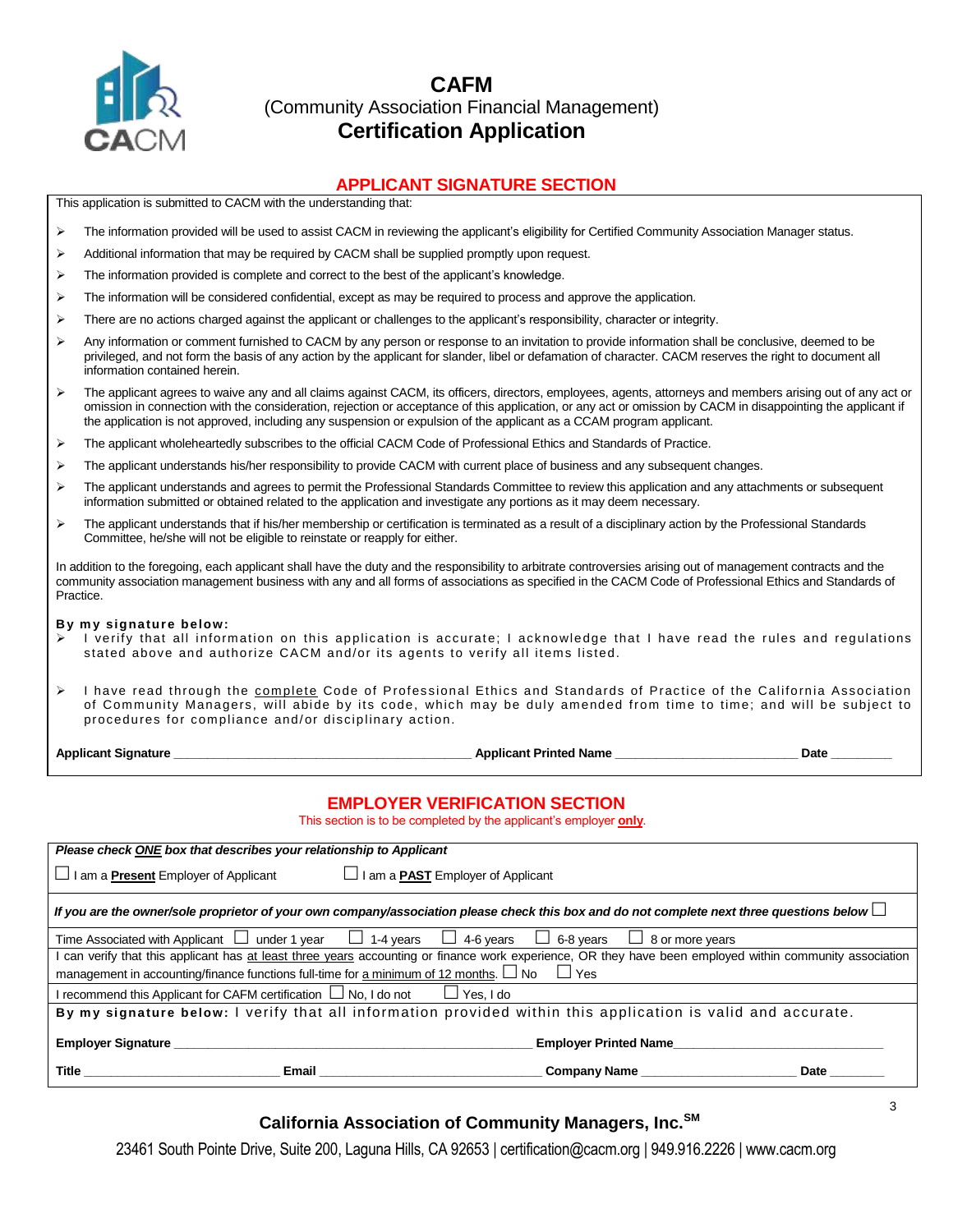

### **APPLICANT SIGNATURE SECTION**

This application is submitted to CACM with the understanding that:

- > The information provided will be used to assist CACM in reviewing the applicant's eligibility for Certified Community Association Manager status.
- Additional information that may be required by CACM shall be supplied promptly upon request.
- The information provided is complete and correct to the best of the applicant's knowledge.
- The information will be considered confidential, except as may be required to process and approve the application.
- There are no actions charged against the applicant or challenges to the applicant's responsibility, character or integrity.
- Any information or comment furnished to CACM by any person or response to an invitation to provide information shall be conclusive, deemed to be privileged, and not form the basis of any action by the applicant for slander, libel or defamation of character. CACM reserves the right to document all information contained herein.
- > The applicant agrees to waive any and all claims against CACM, its officers, directors, employees, agents, attorneys and members arising out of any act or omission in connection with the consideration, rejection or acceptance of this application, or any act or omission by CACM in disappointing the applicant if the application is not approved, including any suspension or expulsion of the applicant as a CCAM program applicant.
- The applicant wholeheartedly subscribes to the official CACM Code of Professional Ethics and Standards of Practice.
- The applicant understands his/her responsibility to provide CACM with current place of business and any subsequent changes.
- The applicant understands and agrees to permit the Professional Standards Committee to review this application and any attachments or subsequent information submitted or obtained related to the application and investigate any portions as it may deem necessary.
- $\triangleright$  The applicant understands that if his/her membership or certification is terminated as a result of a disciplinary action by the Professional Standards Committee, he/she will not be eligible to reinstate or reapply for either.

In addition to the foregoing, each applicant shall have the duty and the responsibility to arbitrate controversies arising out of management contracts and the community association management business with any and all forms of associations as specified in the CACM Code of Professional Ethics and Standards of Practice.

#### **B y m y signature below:**

- I verify that all information on this application is accurate; I acknowledge that I have read the rules and regulations stated above and authorize CACM and/or its agents to verify all items listed.
- $\triangleright$  I have read through the complete Code of Professional Ethics and Standards of Practice of the California Association of Community Managers, will abide by its code, which may be duly amended from time to time; and will be subject to procedures for compliance and/or disciplinary action.

**Applicant Signature \_\_\_\_\_\_\_\_\_\_\_\_\_\_\_\_\_\_\_\_\_\_\_\_\_\_\_\_\_\_\_\_\_\_\_\_\_\_\_\_\_\_\_\_ Applicant Printed Name \_\_\_\_\_\_\_\_\_\_\_\_\_\_\_\_\_\_\_\_\_\_\_\_\_\_\_ Date \_\_\_\_\_\_\_\_\_**

#### **EMPLOYER VERIFICATION SECTION**

This section is to be completed by the applicant's employer **only**.

| Please check ONE box that describes your relationship to Applicant                                                                                       |                                                                                                                                 |  |  |  |
|----------------------------------------------------------------------------------------------------------------------------------------------------------|---------------------------------------------------------------------------------------------------------------------------------|--|--|--|
| I am a <b>Present</b> Employer of Applicant                                                                                                              | $\Box$ I am a <b>PAST</b> Employer of Applicant                                                                                 |  |  |  |
| If you are the owner/sole proprietor of your own company/association please check this box and do not complete next three questions below $\Box$         |                                                                                                                                 |  |  |  |
|                                                                                                                                                          | Time Associated with Applicant $\Box$ under 1 year $\Box$ 1-4 years $\Box$ 4-6 years $\Box$ 6-8 years<br>$\Box$ 8 or more years |  |  |  |
| I can verify that this applicant has at least three years accounting or finance work experience, OR they have been employed within community association |                                                                                                                                 |  |  |  |
| management in accounting/finance functions full-time for a minimum of 12 months. $\Box$ No $\Box$ Yes                                                    |                                                                                                                                 |  |  |  |
| I recommend this Applicant for CAFM certification $\Box$ No, I do not<br>$\Box$ Yes, I do                                                                |                                                                                                                                 |  |  |  |
| By my signature below: I verify that all information provided within this application is valid and accurate.                                             |                                                                                                                                 |  |  |  |
| <b>Employer Signature</b>                                                                                                                                | <b>Employer Printed Name</b>                                                                                                    |  |  |  |
| Title<br>Email                                                                                                                                           | Company Name<br>Date                                                                                                            |  |  |  |

### **California Association of Community Managers, Inc.SM**